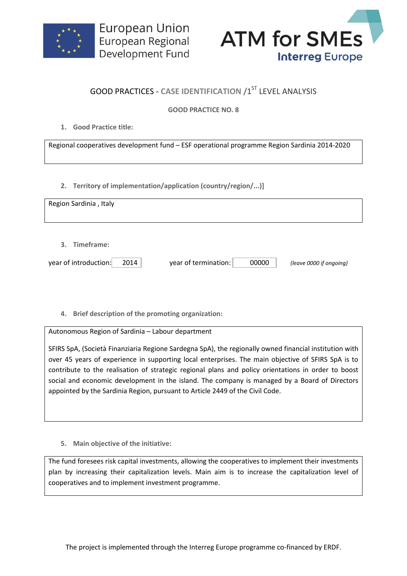



## **GOOD PRACTICES - CASE IDENTIFICATION /1ST LEVEL ANALYSIS**

## **GOOD PRACTICE NO. 8**

**1. Good Practice title:**

Regional cooperatives development fund – ESF operational programme Region Sardinia 2014-2020

**2. Territory of implementation/application (country/region/...)]**

| Region Sardinia, Italy                         |                               |                         |
|------------------------------------------------|-------------------------------|-------------------------|
| 3. Timeframe:<br>year of introduction:<br>2014 | year of termination:<br>00000 | (leave 0000 if ongoing) |

**4. Brief description of the promoting organization:**

Autonomous Region of Sardinia – Labour department

SFIRS SpA, (Società Finanziaria Regione Sardegna SpA), the regionally owned financial institution with over 45 years of experience in supporting local enterprises. The main objective of SFIRS SpA is to contribute to the realisation of strategic regional plans and policy orientations in order to boost social and economic development in the island. The company is managed by a Board of Directors appointed by the Sardinia Region, pursuant to Article 2449 of the Civil Code.

**5. Main objective of the initiative:**

The fund foresees risk capital investments, allowing the cooperatives to implement their investments plan by increasing their capitalization levels. Main aim is to increase the capitalization level of cooperatives and to implement investment programme.